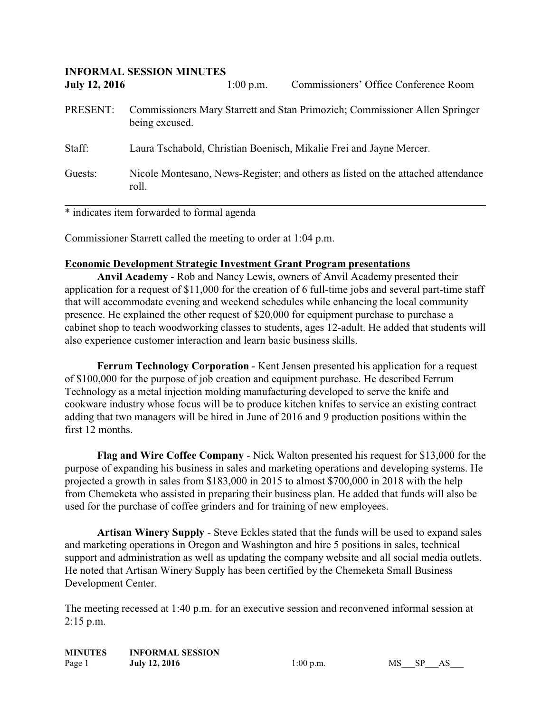| <b>INFORMAL SESSION MINUTES</b> |                                                                                               |             |                                                                                  |  |
|---------------------------------|-----------------------------------------------------------------------------------------------|-------------|----------------------------------------------------------------------------------|--|
| <b>July 12, 2016</b>            |                                                                                               | $1:00$ p.m. | Commissioners' Office Conference Room                                            |  |
| PRESENT:                        | Commissioners Mary Starrett and Stan Primozich; Commissioner Allen Springer<br>being excused. |             |                                                                                  |  |
| Staff:                          | Laura Tschabold, Christian Boenisch, Mikalie Frei and Jayne Mercer.                           |             |                                                                                  |  |
| Guests:                         | roll.                                                                                         |             | Nicole Montesano, News-Register; and others as listed on the attached attendance |  |

\* indicates item forwarded to formal agenda

Commissioner Starrett called the meeting to order at 1:04 p.m.

## **Economic Development Strategic Investment Grant Program presentations**

**Anvil Academy** - Rob and Nancy Lewis, owners of Anvil Academy presented their application for a request of \$11,000 for the creation of 6 full-time jobs and several part-time staff that will accommodate evening and weekend schedules while enhancing the local community presence. He explained the other request of \$20,000 for equipment purchase to purchase a cabinet shop to teach woodworking classes to students, ages 12-adult. He added that students will also experience customer interaction and learn basic business skills.

**Ferrum Technology Corporation** - Kent Jensen presented his application for a request of \$100,000 for the purpose of job creation and equipment purchase. He described Ferrum Technology as a metal injection molding manufacturing developed to serve the knife and cookware industry whose focus will be to produce kitchen knifes to service an existing contract adding that two managers will be hired in June of 2016 and 9 production positions within the first 12 months.

**Flag and Wire Coffee Company** - Nick Walton presented his request for \$13,000 for the purpose of expanding his business in sales and marketing operations and developing systems. He projected a growth in sales from \$183,000 in 2015 to almost \$700,000 in 2018 with the help from Chemeketa who assisted in preparing their business plan. He added that funds will also be used for the purchase of coffee grinders and for training of new employees.

**Artisan Winery Supply** - Steve Eckles stated that the funds will be used to expand sales and marketing operations in Oregon and Washington and hire 5 positions in sales, technical support and administration as well as updating the company website and all social media outlets. He noted that Artisan Winery Supply has been certified by the Chemeketa Small Business Development Center.

The meeting recessed at 1:40 p.m. for an executive session and reconvened informal session at 2:15 p.m.

| <b>MINUTES</b> | <b>INFORMAL SESSION</b> |
|----------------|-------------------------|
| Page 1         | <b>July 12, 2016</b>    |